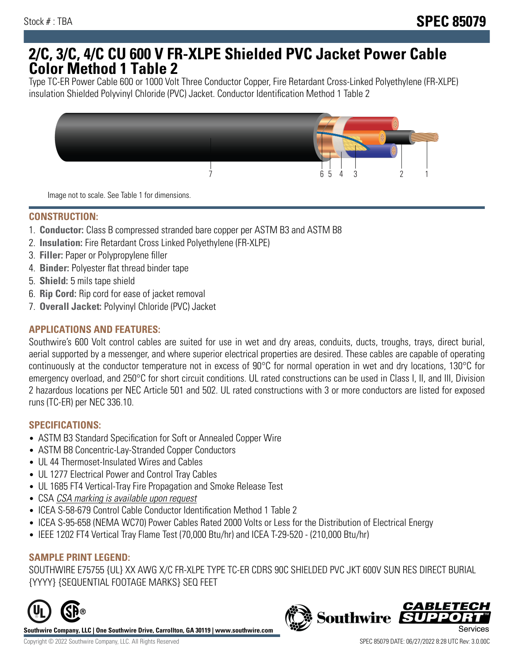## **2/C, 3/C, 4/C CU 600 V FR-XLPE Shielded PVC Jacket Power Cable Color Method 1 Table 2**

Type TC-ER Power Cable 600 or 1000 Volt Three Conductor Copper, Fire Retardant Cross-Linked Polyethylene (FR-XLPE) insulation Shielded Polyvinyl Chloride (PVC) Jacket. Conductor Identification Method 1 Table 2



Image not to scale. See Table 1 for dimensions.

## **CONSTRUCTION:**

- 1. **Conductor:** Class B compressed stranded bare copper per ASTM B3 and ASTM B8
- 2. **Insulation:** Fire Retardant Cross Linked Polyethylene (FR-XLPE)
- 3. **Filler:** Paper or Polypropylene filler
- 4. **Binder:** Polyester flat thread binder tape
- 5. **Shield:** 5 mils tape shield
- 6. **Rip Cord:** Rip cord for ease of jacket removal
- 7. **Overall Jacket:** Polyvinyl Chloride (PVC) Jacket

### **APPLICATIONS AND FEATURES:**

Southwire's 600 Volt control cables are suited for use in wet and dry areas, conduits, ducts, troughs, trays, direct burial, aerial supported by a messenger, and where superior electrical properties are desired. These cables are capable of operating continuously at the conductor temperature not in excess of 90°C for normal operation in wet and dry locations, 130°C for emergency overload, and 250°C for short circuit conditions. UL rated constructions can be used in Class I, II, and III, Division 2 hazardous locations per NEC Article 501 and 502. UL rated constructions with 3 or more conductors are listed for exposed runs (TC-ER) per NEC 336.10.

#### **SPECIFICATIONS:**

- ASTM B3 Standard Specification for Soft or Annealed Copper Wire
- ASTM B8 Concentric-Lay-Stranded Copper Conductors
- UL 44 Thermoset-Insulated Wires and Cables
- UL 1277 Electrical Power and Control Tray Cables
- UL 1685 FT4 Vertical-Tray Fire Propagation and Smoke Release Test
- CSA CSA marking is available upon request
- ICEA S-58-679 Control Cable Conductor Identification Method 1 Table 2
- ICEA S-95-658 (NEMA WC70) Power Cables Rated 2000 Volts or Less for the Distribution of Electrical Energy
- IEEE 1202 FT4 Vertical Tray Flame Test (70,000 Btu/hr) and ICEA T-29-520 (210,000 Btu/hr)

#### **SAMPLE PRINT LEGEND:**

SOUTHWIRE E75755 {UL} XX AWG X/C FR-XLPE TYPE TC-ER CDRS 90C SHIELDED PVC JKT 600V SUN RES DIRECT BURIAL {YYYY} {SEQUENTIAL FOOTAGE MARKS} SEQ FEET



**Southwire Company, LLC | One Southwire Drive, Carrollton, GA 30119 | www.southwire.com**